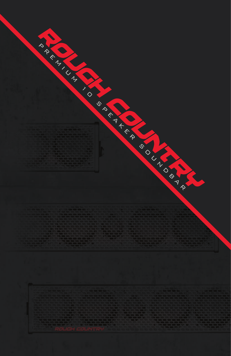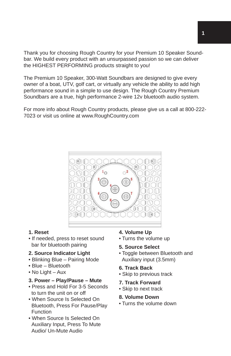Thank you for choosing Rough Country for your Premium 10 Speaker Soundbar. We build every product with an unsurpassed passion so we can deliver the HIGHEST PERFORMING products straight to you!

The Premium 10 Speaker, 300-Watt Soundbars are designed to give every owner of a boat, UTV, golf cart, or virtually any vehicle the ability to add high performance sound in a simple to use design. The Rough Country Premium Soundbars are a true, high performance 2-wire 12v bluetooth audio system.

For more info about Rough Country products, please give us a call at 800-222- 7023 or visit us online at www.RoughCountry.com



### **1. Reset**

• If needed, press to reset sound bar for bluetooth pairing

# **2. Source Indicator Light**

- Blinking Blue Pairing Mode
- Blue Bluetooth
- No Light Aux

# **3. Power – Play/Pause – Mute**

- Press and Hold For 3-5 Seconds to turn the unit on or off
- When Source Is Selected On Bluetooth, Press For Pause/Play Function
- When Source Is Selected On Auxiliary Input, Press To Mute Audio/ Un-Mute Audio

# **4. Volume Up**

• Turns the volume up

# **5. Source Select**

• Toggle between Bluetooth and Auxiliary input (3.5mm)

### **6. Track Back**

• Skip to previous track

### **7. Track Forward**

• Skip to next track

# **8. Volume Down**

• Turns the volume down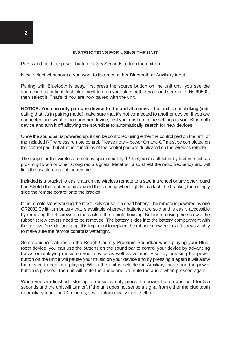#### **INSTRUCTIONS FOR USING THE UNIT**

Press and hold the power button for 3-5 Seconds to turn the unit on.

Next, select what source you want to listen to, either Bluetooth or Auxiliary input.

Pairing with Bluetooth is easy, first press the source button on the unit until you see the source indicator light flash blue, next turn on your blue tooth device and search for RC99500, then select it. That's it! You are now paired with the unit.

**NOTICE: You can only pair one device to the unit at a time.** If the unit is not blinking (indicating that it's in pairing mode) make sure that it's not connected to another device. If you are connected and want to pair another device, first you must go to the settings in your Bluetooth device and turn it off allowing the soundbar to automatically search for new devices.

Once the soundbar is powered up, it can be controlled using either the control pad on the unit, or the included RF wireless remote control. Please note – power On and Off must be completed on the control pad, but all other functions of the control pad are duplicated on the wireless remote.

The range for the wireless remote is approximately 12 feet, and is affected by factors such as proximity to wifi or other strong radio signals. Metal will also shield the radio frequency and will limit the usable range of the remote.

Included is a bracket to easily attach the wireless remote to a steering wheel or any other round bar. Stretch the rubber cords around the steering wheel tightly to attach the bracket, then simply slide the remote control onto the bracket.

If the remote stops working the most likely cause is a dead battery. The remote is powered by one CR2032 3v lithium battery that is available wherever batteries are sold and is easily accessible by removing the 4 screws on the back of the remote housing. Before removing the screws, the rubber screw covers need to be removed. The battery slides into the battery compartment with the positive (+) side facing up. It is important to replace the rubber screw covers after reassembly to make sure the remote control is watertight.

Some unique features on the Rough Country Premium Soundbar when playing your Bluetooth device, you can use the buttons on the sound bar to control your device by advancing tracks or replaying music on your device as well as volume. Also, by pressing the power button on the unit it will pause your music on your device and by pressing it again it will allow the device to continue playing. When the unit is selected in Auxiliary mode and the power button is pressed, the unit will mute the audio and un-mute the audio when pressed again.

When you are finished listening to music, simply press the power button and hold for 3-5 seconds and the unit will turn off. If the unit does not sense a signal from either the blue tooth or auxiliary input for 10 minutes, it will automatically turn itself off.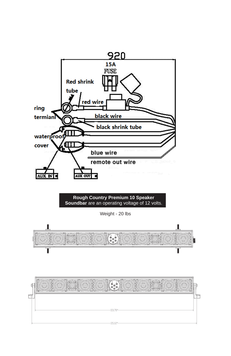